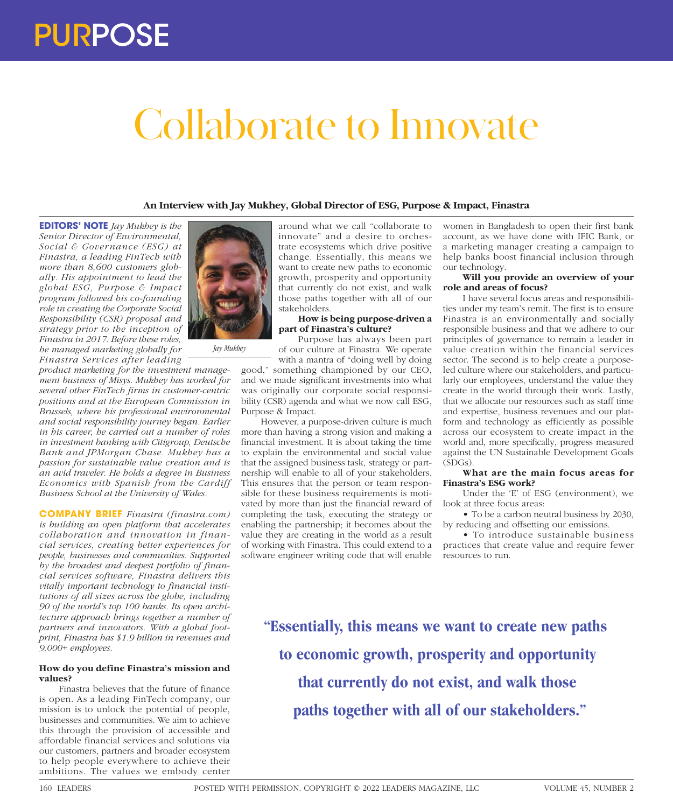# Collaborate to Innovate

# **An Interview with Jay Mukhey, Global Director of ESG, Purpose & Impact, Finastra**

**EDITORS' NOTE** *Jay Mukhey is the Senior Director of Environmental, Social & Governance (ESG) at Finastra, a leading FinTech with more than 8,600 customers globally. His appointment to lead the global ESG, Purpose & Impact program followed his co-founding role in creating the Corporate Social Responsibility (CSR) proposal and strategy prior to the inception of Finastra in 2017. Before these roles, he managed marketing globally for Finastra Services after leading* 

*product marketing for the investment management business of Misys. Mukhey has worked for several other FinTech firms in customer-centric positions and at the European Commission in Brussels, where his professional environmental and social responsibility journey began. Earlier in his career, he carried out a number of roles in investment banking with Citigroup, Deutsche Bank and JPMorgan Chase. Mukhey has a passion for sustainable value creation and is an avid traveler. He holds a degree in Business Economics with Spanish from the Cardiff Business School at the University of Wales.* 

**COMPANY BRIEF** *Finastra (finastra.com) is building an open platform that accelerates collaboration and innovation in financial services, creating better experiences for people, businesses and communities. Supported by the broadest and deepest portfolio of financial services software, Finastra delivers this vitally important technology to financial institutions of all sizes across the globe, including 90 of the world's top 100 banks. Its open architecture approach brings together a number of partners and innovators. With a global footprint, Finastra has \$1.9 billion in revenues and 9,000+ employees.*

# **How do you define Finastra's mission and values?**

Finastra believes that the future of finance is open. As a leading FinTech company, our mission is to unlock the potential of people, businesses and communities. We aim to achieve this through the provision of accessible and affordable financial services and solutions via our customers, partners and broader ecosystem to help people everywhere to achieve their ambitions. The values we embody center



*Jay Mukhey*

around what we call "collaborate to innovate" and a desire to orchestrate ecosystems which drive positive change. Essentially, this means we want to create new paths to economic growth, prosperity and opportunity that currently do not exist, and walk those paths together with all of our stakeholders.

# **How is being purpose-driven a part of Finastra's culture?**

Purpose has always been part of our culture at Finastra. We operate with a mantra of "doing well by doing

good," something championed by our CEO, and we made significant investments into what was originally our corporate social responsibility (CSR) agenda and what we now call ESG, Purpose & Impact.

However, a purpose-driven culture is much more than having a strong vision and making a financial investment. It is about taking the time to explain the environmental and social value that the assigned business task, strategy or partnership will enable to all of your stakeholders. This ensures that the person or team responsible for these business requirements is motivated by more than just the financial reward of completing the task, executing the strategy or enabling the partnership; it becomes about the value they are creating in the world as a result of working with Finastra. This could extend to a software engineer writing code that will enable

women in Bangladesh to open their first bank account, as we have done with IFIC Bank, or a marketing manager creating a campaign to help banks boost financial inclusion through our technology.

# **Will you provide an overview of your role and areas of focus?**

I have several focus areas and responsibilities under my team's remit. The first is to ensure Finastra is an environmentally and socially responsible business and that we adhere to our principles of governance to remain a leader in value creation within the financial services sector. The second is to help create a purposeled culture where our stakeholders, and particularly our employees, understand the value they create in the world through their work. Lastly, that we allocate our resources such as staff time and expertise, business revenues and our platform and technology as efficiently as possible across our ecosystem to create impact in the world and, more specifically, progress measured against the UN Sustainable Development Goals (SDGs).

### **What are the main focus areas for Finastra's ESG work?**

Under the 'E' of ESG (environment), we look at three focus areas:

• To be a carbon neutral business by 2030, by reducing and offsetting our emissions.

• To introduce sustainable business practices that create value and require fewer resources to run.

**"Essentially, this means we want to create new paths to economic growth, prosperity and opportunity that currently do not exist, and walk those paths together with all of our stakeholders."**